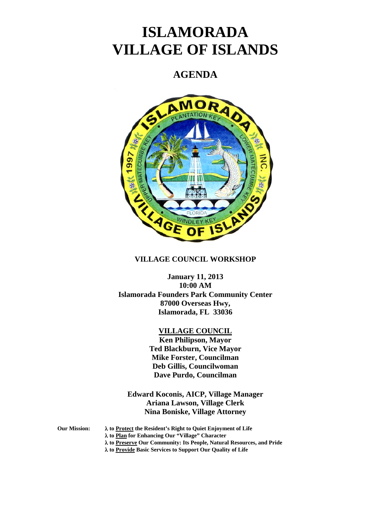# **ISLAMORADA VILLAGE OF ISLANDS**

# **AGENDA**



# **VILLAGE COUNCIL WORKSHOP**

**January 11, 2013 10:00 AM Islamorada Founders Park Community Center 87000 Overseas Hwy, Islamorada, FL 33036** 

# **VILLAGE COUNCIL**

**Ken Philipson, Mayor Ted Blackburn, Vice Mayor Mike Forster, Councilman Deb Gillis, Councilwoman Dave Purdo, Councilman** 

**Edward Koconis, AICP, Village Manager Ariana Lawson, Village Clerk Nina Boniske, Village Attorney** 

**Our Mission: to Protect the Resident's Right to Quiet Enjoyment of Life** 

 **to Plan for Enhancing Our "Village" Character** 

 **to Preserve Our Community: Its People, Natural Resources, and Pride** 

 **to Provide Basic Services to Support Our Quality of Life**